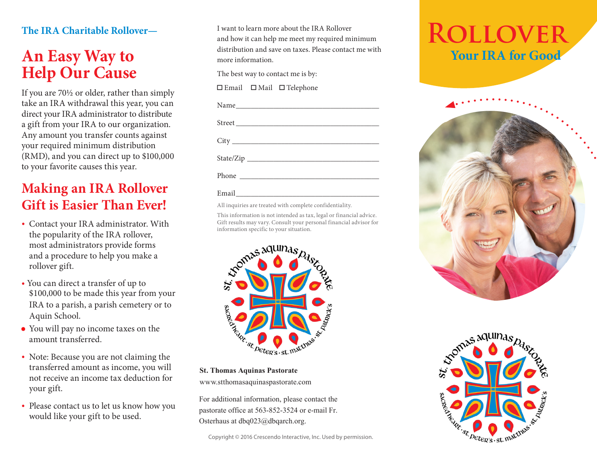#### **The IRA Charitable Rollover—**

## **An Easy Way to Help Our Cause**

If you are 70½ or older, rather than simply take an IRA withdrawal this year, you can direct your IRA administrator to distribute a gift from your IRA to our organization. Any amount you transfer counts against your required minimum distribution (RMD), and you can direct up to \$100,000 to your favorite causes this year.

## **Making an IRA Rollover Gift is Easier Than Ever!**

- Contact your IRA administrator. With the popularity of the IRA rollover, most administrators provide forms and a procedure to help you make a rollover gift.
- You can direct a transfer of up to \$100,000 to be made this year from your IRA to a parish, a parish cemetery or to Aquin School.
- You will pay no income taxes on the amount transferred.
- Note: Because you are not claiming the transferred amount as income, you will not receive an income tax deduction for your gift.
- Please contact us to let us know how you would like your gift to be used.

I want to learn more about the IRA Rollover and how it can help me meet my required minimum distribution and save on taxes. Please contact me with more information.

The best way to contact me is by:

□ Email □ Mail □ Telephone

#### Email\_\_\_\_\_\_\_\_\_\_\_\_\_\_\_\_\_\_\_\_\_\_\_\_\_\_\_\_\_\_\_\_\_\_\_\_\_\_

All inquiries are treated with complete confidentiality.

This information is not intended as tax, legal or financial advice. Gift results may vary. Consult your personal financial advisor for information specific to your situation.



**St. Thomas Aquinas Pastorate**

www.stthomasaquinaspastorate.com

For additional information, please contact the pastorate office at 563-852-3524 or e-mail Fr. Osterhaus at dbq023@dbqarch.org.

## **Rollover Your IRA for Good**